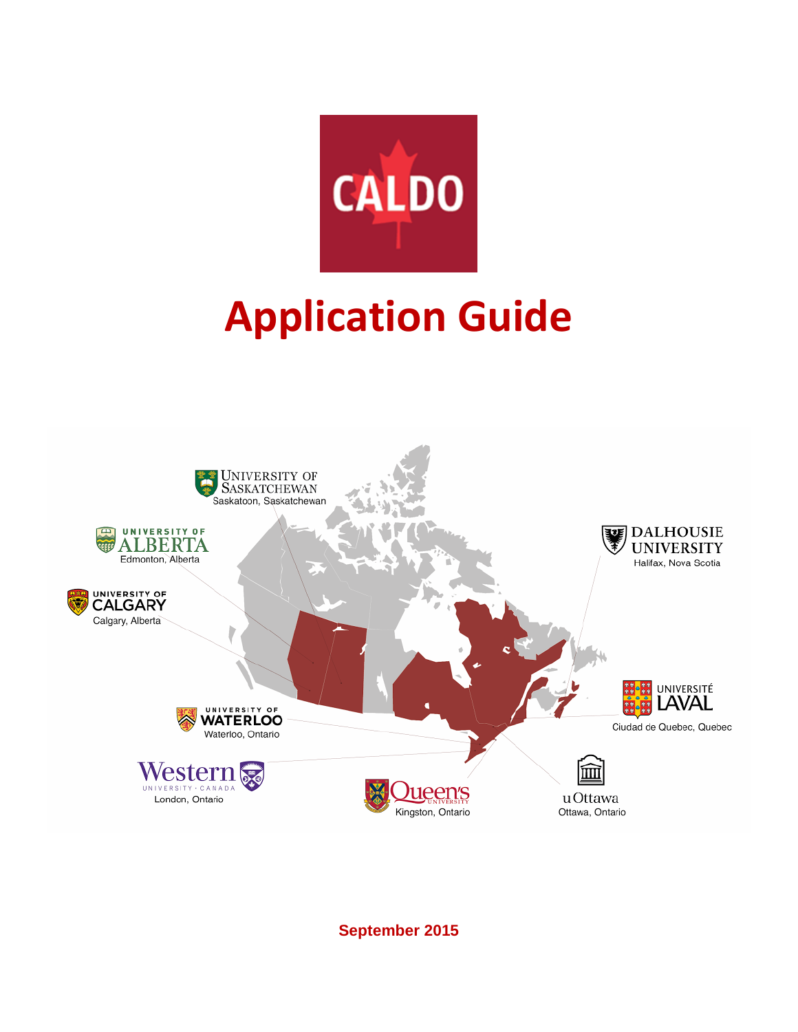

# **Application Guide**



**September 2015**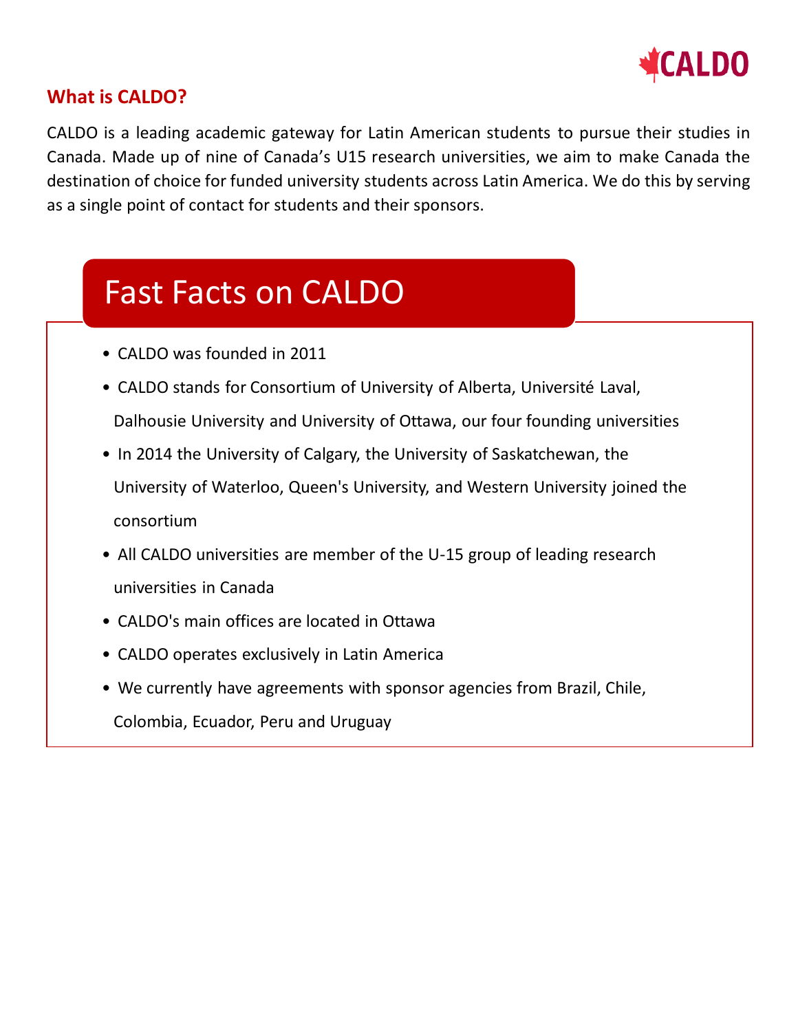

## **What is CALDO?**

CALDO is a leading academic gateway for Latin American students to pursue their studies in Canada. Made up of nine of Canada's U15 research universities, we aim to make Canada the destination of choice for funded university students across Latin America. We do this by serving as a single point of contact for students and their sponsors.

## Fast Facts on CALDO

- CALDO was founded in 2011
- CALDO stands for Consortium of University of Alberta, Université Laval, Dalhousie University and University of Ottawa, our four founding universities
- In 2014 the University of Calgary, the University of Saskatchewan, the University of Waterloo, Queen's University, and Western University joined the consortium
- All CALDO universities are member of the U-15 group of leading research universities in Canada
- CALDO's main offices are located in Ottawa
- CALDO operates exclusively in Latin America
- We currently have agreements with sponsor agencies from Brazil, Chile, Colombia, Ecuador, Peru and Uruguay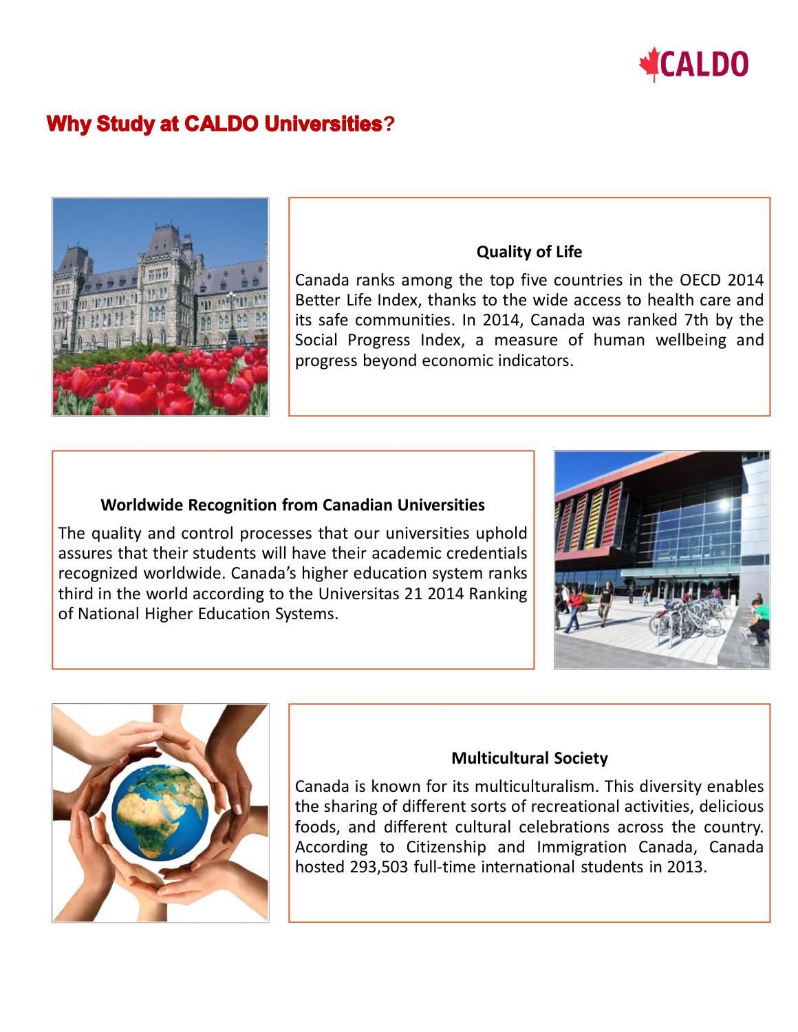

## **Why Study at CALDO Universities?**



## **Quality of Life**

Canada ranks among the top five countries in the OECD 2014 Better Life Index, thanks to the wide access to health care and its safe communities. In 2014, Canada was ranked 7th by the Social Progress Index, a measure of human wellbeing and progress beyond economic indicators.

## **Worldwide Recognition from Canadian Universities**

The quality and control processes that our universities uphold assures that their students will have their academic credentials recognized worldwide. Canada's higher education system ranks third in the world according to the Universitas 21 2014 Ranking of National Higher Education Systems.





## **Multicultural Society**

Canada is known for its multiculturalism. This diversity enables the sharing of different sorts of recreational activities, delicious foods, and different cultural celebrations across the country. According to Citizenship and Immigration Canada, Canada hosted 293,503 full-time international students in 2013.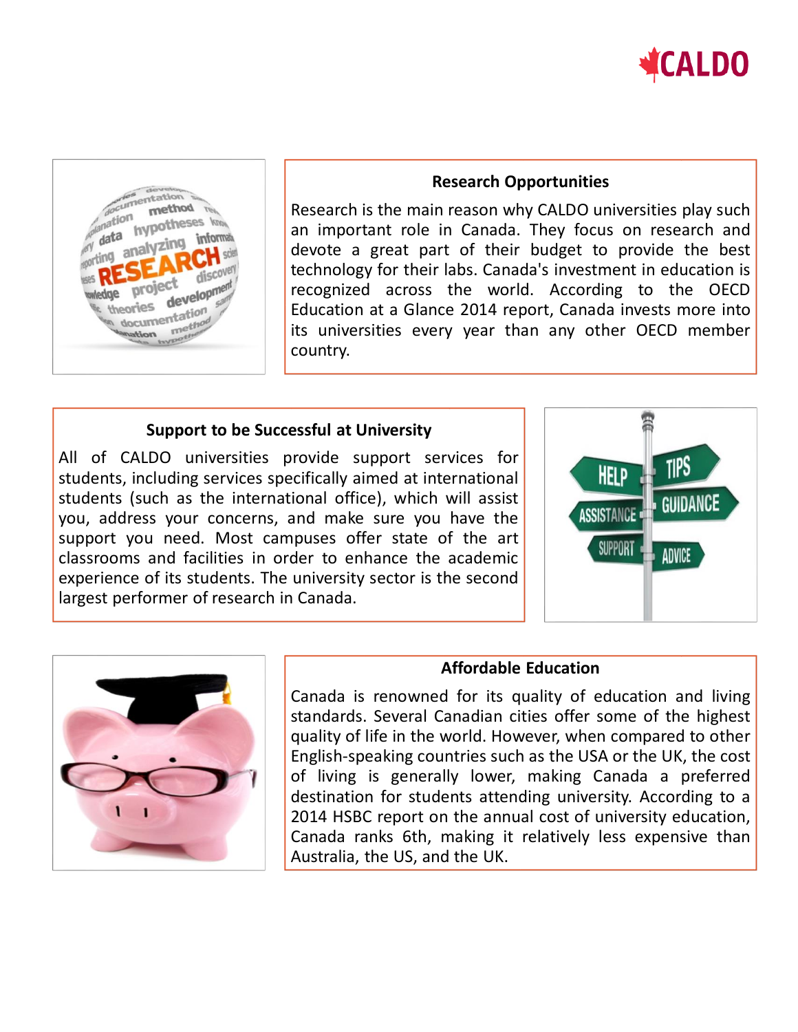



#### **Research Opportunities**

Research is the main reason why CALDO universities play such an important role in Canada. They focus on research and devote a great part of their budget to provide the best technology for their labs. Canada's investment in education is recognized across the world. According to the OECD Education at a Glance 2014 report, Canada invests more into its universities every year than any other OECD member country.

## **Support to be Successful at University**

All of CALDO universities provide support services for students, including services specifically aimed at international students (such as the international office), which will assist you, address your concerns, and make sure you have the support you need. Most campuses offer state of the art classrooms and facilities in order to enhance the academic experience of its students. The university sector is the second largest performer of research in Canada.





## **Affordable Education**

Canada is renowned for its quality of education and living standards. Several Canadian cities offer some of the highest quality of life in the world. However, when compared to other English-speaking countries such as the USA or the UK, the cost of living is generally lower, making Canada a preferred destination for students attending university. According to a 2014 HSBC report on the annual cost of university education, Canada ranks 6th, making it relatively less expensive than Australia, the US, and the UK.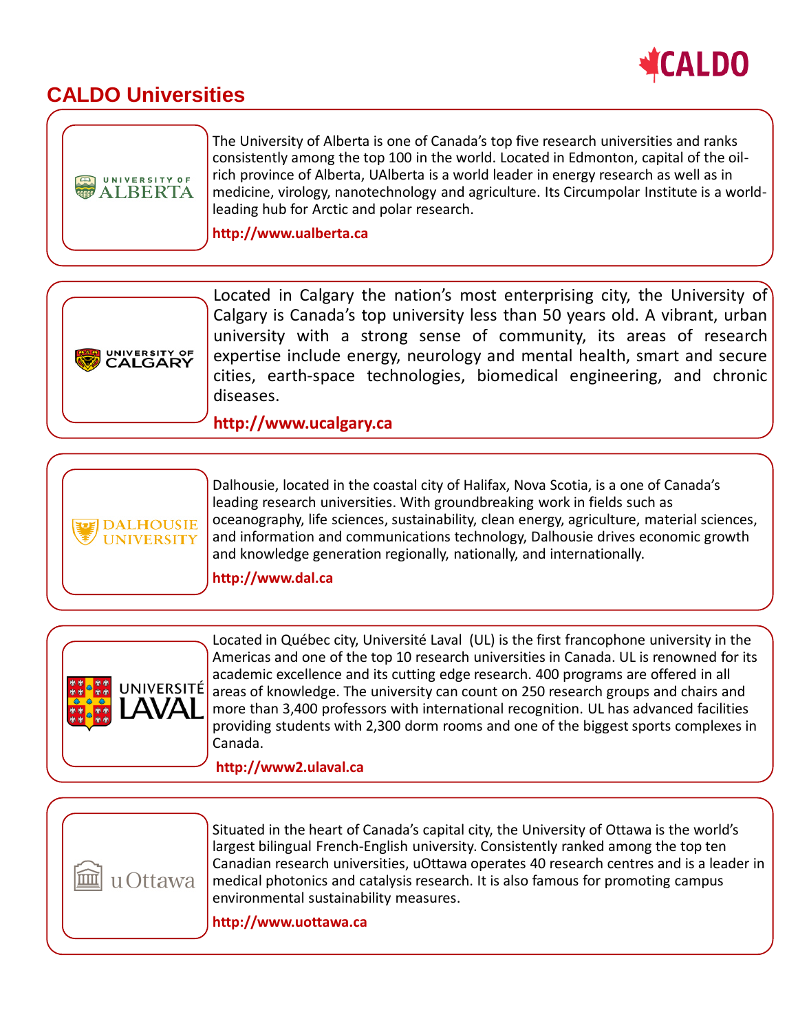

## **CALDO Universities**







Dalhousie, located in the coastal city of Halifax, Nova Scotia, is a one of Canada's leading research universities. With groundbreaking work in fields such as oceanography, life sciences, sustainability, clean energy, agriculture, material sciences, and information and communications technology, Dalhousie drives economic growth and knowledge generation regionally, nationally, and internationally.

**http://www.dal.ca**



Located in Québec city, Université Laval (UL) is the first francophone university in the Americas and one of the top 10 research universities in Canada. UL is renowned for its academic excellence and its cutting edge research. 400 programs are offered in all areas of knowledge. The university can count on 250 research groups and chairs and more than 3,400 professors with international recognition. UL has advanced facilities providing students with 2,300 dorm rooms and one of the biggest sports complexes in Canada.

**http://www2.ulaval.ca**



Situated in the heart of Canada's capital city, the University of Ottawa is the world's largest bilingual French-English university. Consistently ranked among the top ten Canadian research universities, uOttawa operates 40 research centres and is a leader in medical photonics and catalysis research. It is also famous for promoting campus environmental sustainability measures.

**http://www.uottawa.ca**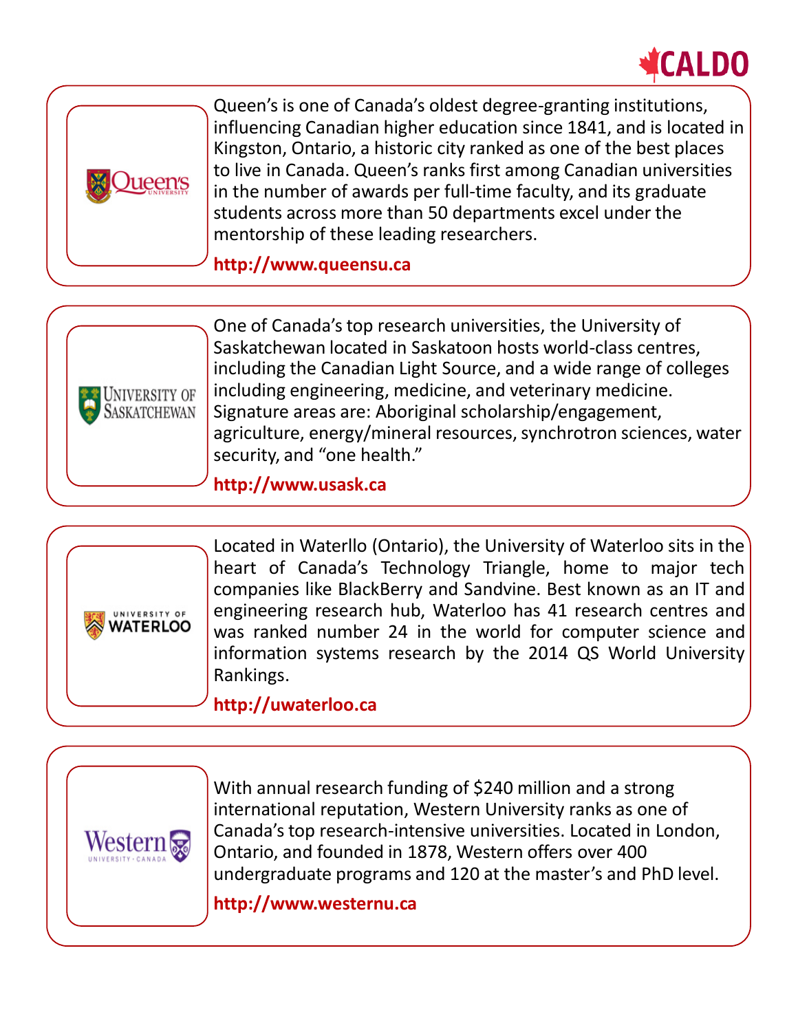



Queen's is one of Canada's oldest degree-granting institutions, influencing Canadian higher education since 1841, and is located in Kingston, Ontario, a historic city ranked as one of the best places to live in Canada. Queen's ranks first among Canadian universities in the number of awards per full-time faculty, and its graduate students across more than 50 departments excel under the mentorship of these leading researchers.

**http://www.queensu.ca**



One of Canada's top research universities, the University of Saskatchewan located in Saskatoon hosts world-class centres, including the Canadian Light Source, and a wide range of colleges including engineering, medicine, and veterinary medicine. Signature areas are: Aboriginal scholarship/engagement, agriculture, energy/mineral resources, synchrotron sciences, water security, and "one health."

**http://www.usask.ca**



Located in Waterllo (Ontario), the University of Waterloo sits in the heart of Canada's Technology Triangle, home to major tech companies like BlackBerry and Sandvine. Best known as an IT and engineering research hub, Waterloo has 41 research centres and was ranked number 24 in the world for computer science and information systems research by the 2014 QS World University Rankings.

## **http://uwaterloo.ca**



With annual research funding of \$240 million and a strong international reputation, Western University ranks as one of Canada's top research-intensive universities. Located in London, Ontario, and founded in 1878, Western offers over 400 undergraduate programs and 120 at the master's and PhD level.

**http://www.westernu.ca**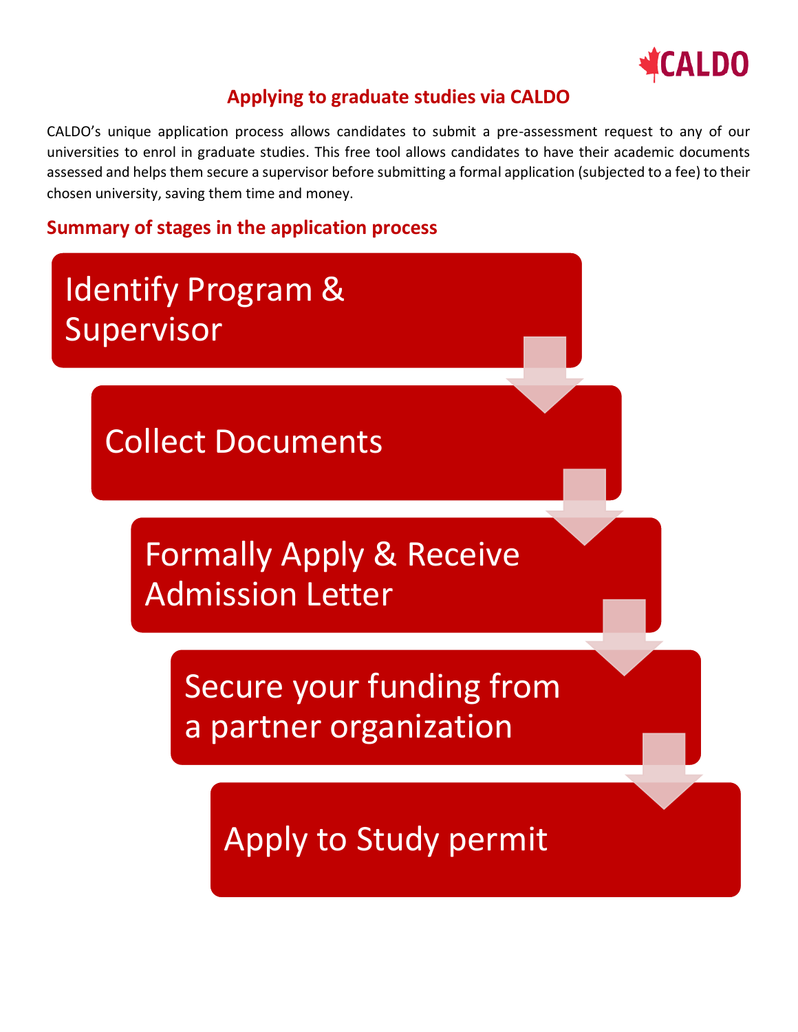

## **Applying to graduate studies via CALDO**

CALDO's unique application process allows candidates to submit a pre-assessment request to any of our universities to enrol in graduate studies. This free tool allows candidates to have their academic documents assessed and helps them secure a supervisor before submitting a formal application (subjected to a fee) to their chosen university, saving them time and money.

## **Summary of stages in the application process**

## Identify Program & Supervisor

Collect Documents

Formally Apply & Receive Admission Letter

> Secure your funding from a partner organization

> > Apply to Study permit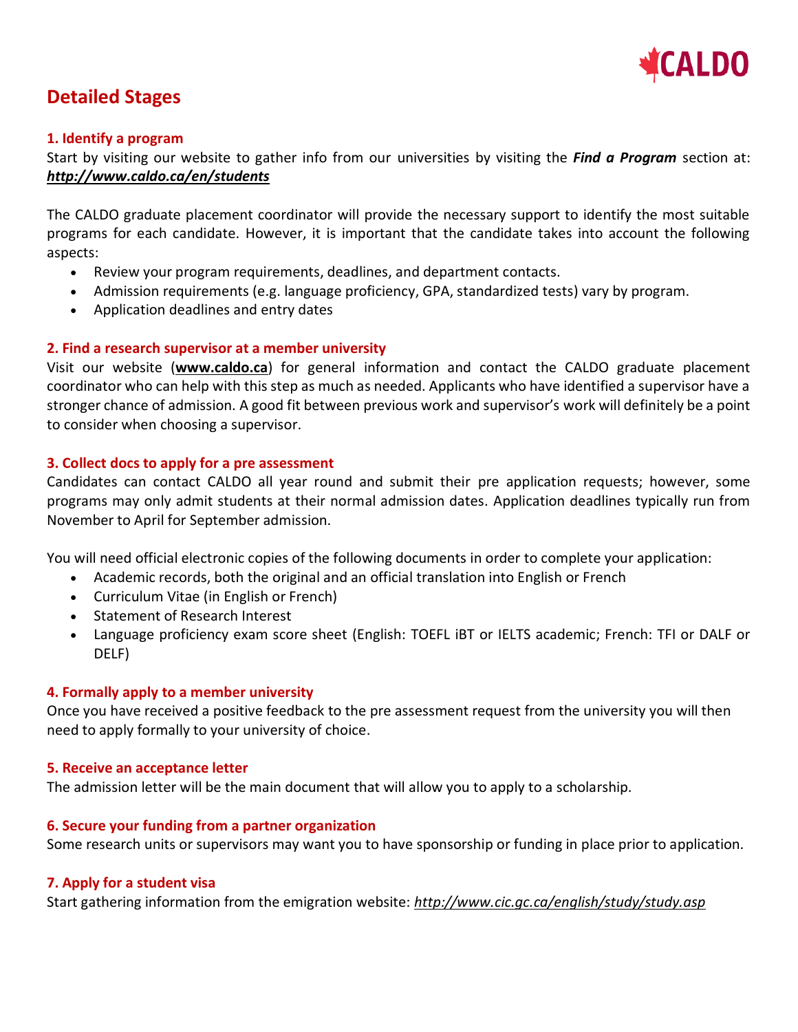

## **Detailed Stages**

#### **1. Identify a program**

Start by visiting our website to gather info from our universities by visiting the *Find a Program* section at: *<http://www.caldo.ca/en/students>*

The CALDO graduate placement coordinator will provide the necessary support to identify the most suitable programs for each candidate. However, it is important that the candidate takes into account the following aspects:

- Review your program requirements, deadlines, and department contacts.
- Admission requirements (e.g. language proficiency, GPA, standardized tests) vary by program.
- Application deadlines and entry dates

#### **2. Find a research supervisor at a member university**

Visit our website (**[www.caldo.ca](http://www.caldo.ca/)**) for general information and contact the CALDO graduate placement coordinator who can help with this step as much as needed. Applicants who have identified a supervisor have a stronger chance of admission. A good fit between previous work and supervisor's work will definitely be a point to consider when choosing a supervisor.

#### **3. Collect docs to apply for a pre assessment**

Candidates can contact CALDO all year round and submit their pre application requests; however, some programs may only admit students at their normal admission dates. Application deadlines typically run from November to April for September admission.

You will need official electronic copies of the following documents in order to complete your application:

- Academic records, both the original and an official translation into English or French
- Curriculum Vitae (in English or French)
- Statement of Research Interest
- Language proficiency exam score sheet (English: TOEFL iBT or IELTS academic; French: TFI or DALF or DELF)

#### **4. Formally apply to a member university**

Once you have received a positive feedback to the pre assessment request from the university you will then need to apply formally to your university of choice.

#### **5. Receive an acceptance letter**

The admission letter will be the main document that will allow you to apply to a scholarship.

#### **6. Secure your funding from a partner organization**

Some research units or supervisors may want you to have sponsorship or funding in place prior to application.

#### **7. Apply for a student visa**

Start gathering information from the emigration website: *<http://www.cic.gc.ca/english/study/study.asp>*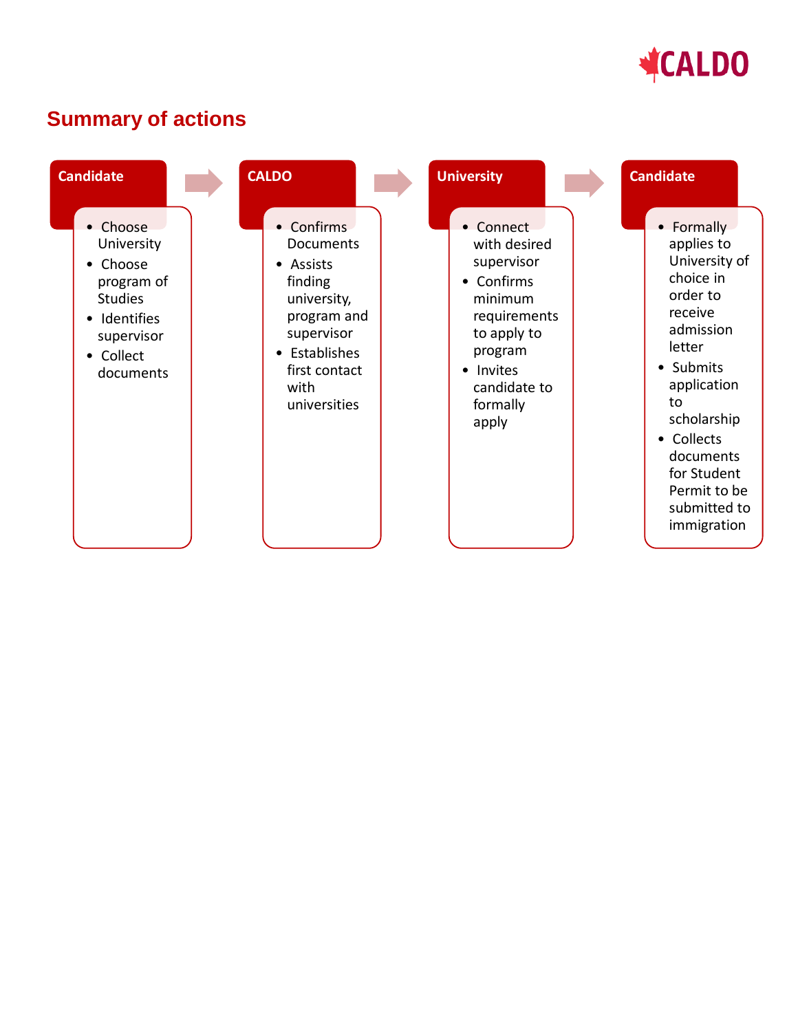

## **Summary of actions**